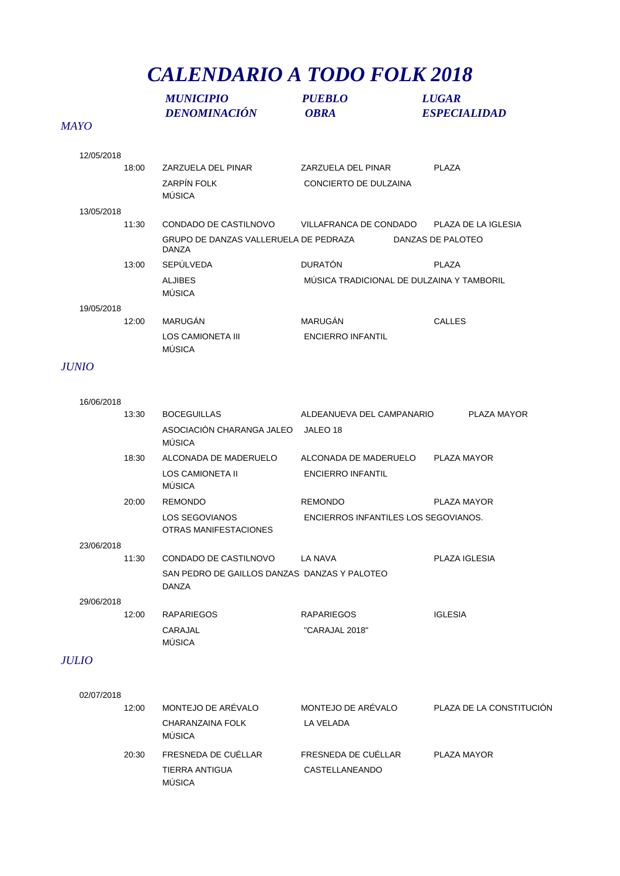## *CALENDARIO A TODO FOLK 2018*

|              | <b>MUNICIPIO</b><br><b>DENOMINACIÓN</b>                                        | <b>PUEBLO</b><br><b>OBRA</b>              | <b>LUGAR</b><br><b>ESPECIALIDAD</b> |
|--------------|--------------------------------------------------------------------------------|-------------------------------------------|-------------------------------------|
| <b>MAYO</b>  |                                                                                |                                           |                                     |
| 12/05/2018   |                                                                                |                                           |                                     |
| 18:00        | ZARZUELA DEL PINAR                                                             | ZARZUELA DEL PINAR                        | <b>PLAZA</b>                        |
|              | <b>ZARPÍN FOLK</b><br><b>MÚSICA</b>                                            | CONCIERTO DE DULZAINA                     |                                     |
| 13/05/2018   |                                                                                |                                           |                                     |
| 11:30        | CONDADO DE CASTILNOVO                                                          | VILLAFRANCA DE CONDADO                    | PLAZA DE LA IGLESIA                 |
|              | GRUPO DE DANZAS VALLERUELA DE PEDRAZA<br><b>DANZA</b>                          |                                           | DANZAS DE PALOTEO                   |
| 13:00        | <b>SEPÚLVEDA</b>                                                               | <b>DURATÓN</b>                            | <b>PLAZA</b>                        |
|              | <b>ALJIBES</b><br><b>MÚSICA</b>                                                | MUSICA TRADICIONAL DE DULZAINA Y TAMBORIL |                                     |
| 19/05/2018   |                                                                                |                                           |                                     |
| 12:00        | MARUGÁN<br><b>LOS CAMIONETA III</b><br><b>MÚSICA</b>                           | MARUGÁN<br><b>ENCIERRO INFANTIL</b>       | <b>CALLES</b>                       |
| <b>JUNIO</b> |                                                                                |                                           |                                     |
| 16/06/2018   |                                                                                |                                           |                                     |
| 13:30        | <b>BOCEGUILLAS</b>                                                             | ALDEANUEVA DEL CAMPANARIO                 | PLAZA MAYOR                         |
|              | ASOCIACIÓN CHARANGA JALEO JALEO 18<br>MÚSICA                                   |                                           |                                     |
| 18:30        | ALCONADA DE MADERUELO                                                          | ALCONADA DE MADERUELO                     | PLAZA MAYOR                         |
|              | LOS CAMIONETA II<br><b>MÚSICA</b>                                              | <b>ENCIERRO INFANTIL</b>                  |                                     |
| 20:00        | <b>REMONDO</b>                                                                 | <b>REMONDO</b>                            | PLAZA MAYOR                         |
|              | <b>LOS SEGOVIANOS</b><br>OTRAS MANIFESTACIONES                                 | ENCIERROS INFANTILES LOS SEGOVIANOS.      |                                     |
| 23/06/2018   |                                                                                |                                           |                                     |
| 11:30        | CONDADO DE CASTILNOVO<br>SAN PEDRO DE GAILLOS DANZAS DANZAS Y PALOTEO<br>DANZA | LA NAVA                                   | PLAZA IGLESIA                       |
| 29/06/2018   |                                                                                |                                           |                                     |
| 12:00        | <b>RAPARIEGOS</b>                                                              | <b>RAPARIEGOS</b>                         | <b>IGLESIA</b>                      |
|              | CARAJAL<br><b>MÚSICA</b>                                                       | "CARAJAL 2018"                            |                                     |
| <b>JULIO</b> |                                                                                |                                           |                                     |
| 02/07/2018   |                                                                                |                                           |                                     |
| 12:00        | MONTEJO DE ARÉVALO                                                             | MONTEJO DE ARÉVALO                        | PLAZA DE LA CONSTITUCIÓN            |
|              | CHARANZAINA FOLK<br><b>MÚSICA</b>                                              | LA VELADA                                 |                                     |
| 20:30        | FRESNEDA DE CUELLAR<br>TIERRA ANTIGUA                                          | FRESNEDA DE CUÉLLAR<br>CASTELLANEANDO     | PLAZA MAYOR                         |

MÚSICA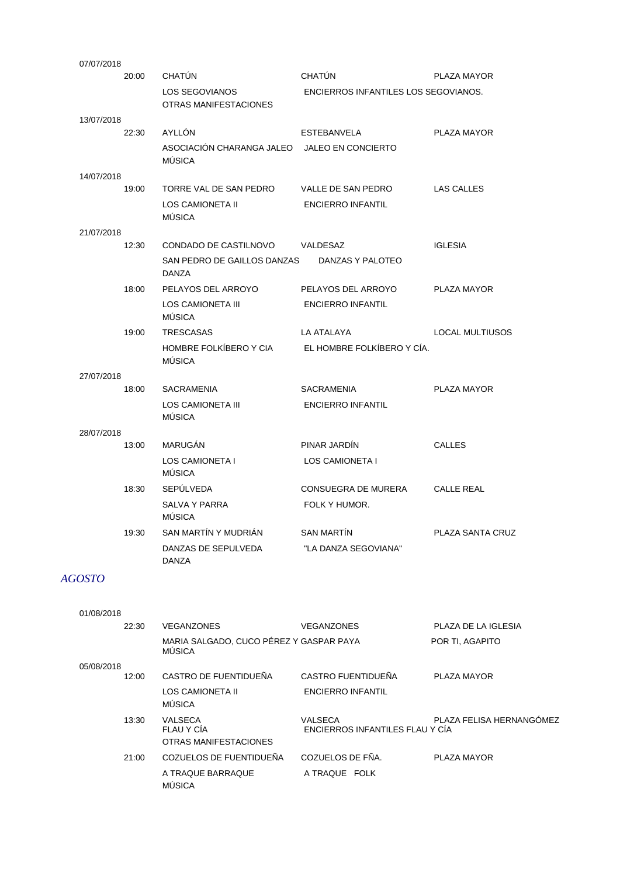|       | CHATÚN                                         | CHATÚN                               | PLAZA MAYOR                                                                 |
|-------|------------------------------------------------|--------------------------------------|-----------------------------------------------------------------------------|
|       | <b>LOS SEGOVIANOS</b><br>OTRAS MANIFESTACIONES | ENCIERROS INFANTILES LOS SEGOVIANOS. |                                                                             |
|       |                                                |                                      |                                                                             |
|       | AYLLÓN                                         | <b>ESTEBANVELA</b>                   | PLAZA MAYOR                                                                 |
|       | <b>MÚSICA</b>                                  |                                      |                                                                             |
|       |                                                |                                      |                                                                             |
| 19:00 | TORRE VAL DE SAN PEDRO                         | VALLE DE SAN PEDRO                   | <b>LAS CALLES</b>                                                           |
|       | <b>LOS CAMIONETA II</b><br><b>MÚSICA</b>       | <b>ENCIERRO INFANTIL</b>             |                                                                             |
|       |                                                |                                      |                                                                             |
| 12:30 | CONDADO DE CASTILNOVO                          | VALDESAZ                             | <b>IGLESIA</b>                                                              |
|       | <b>DANZA</b>                                   | DANZAS Y PALOTEO                     |                                                                             |
| 18:00 | PELAYOS DEL ARROYO                             | PELAYOS DEL ARROYO                   | PLAZA MAYOR                                                                 |
|       | LOS CAMIONETA III<br><b>MÚSICA</b>             | <b>ENCIERRO INFANTIL</b>             |                                                                             |
| 19:00 | <b>TRESCASAS</b>                               | LA ATALAYA                           | <b>LOCAL MULTIUSOS</b>                                                      |
|       | HOMBRE FOLKÍBERO Y CIA<br><b>MÚSICA</b>        | EL HOMBRE FOLKÍBERO Y CÍA.           |                                                                             |
|       |                                                |                                      |                                                                             |
| 18:00 | <b>SACRAMENIA</b>                              | <b>SACRAMENIA</b>                    | PLAZA MAYOR                                                                 |
|       | <b>LOS CAMIONETA III</b><br><b>MÚSICA</b>      | <b>ENCIERRO INFANTIL</b>             |                                                                             |
|       |                                                |                                      |                                                                             |
| 13:00 | <b>MARUGAN</b>                                 | PINAR JARDIN                         | <b>CALLES</b>                                                               |
|       | <b>LOS CAMIONETA I</b><br>MÚSICA               | LOS CAMIONETA I                      |                                                                             |
| 18:30 | SEPÚLVEDA                                      | CONSUEGRA DE MURERA                  | <b>CALLE REAL</b>                                                           |
|       | <b>SALVA Y PARRA</b><br><b>MÚSICA</b>          | FOLK Y HUMOR.                        |                                                                             |
| 19:30 | SAN MARTÍN Y MUDRIÁN                           | <b>SAN MARTÍN</b>                    | PLAZA SANTA CRUZ                                                            |
|       | DANZAS DE SEPULVEDA<br><b>DANZA</b>            | "LA DANZA SEGOVIANA"                 |                                                                             |
|       | 20:00<br>22:30                                 |                                      | ASOCIACIÓN CHARANGA JALEO JALEO EN CONCIERTO<br>SAN PEDRO DE GAILLOS DANZAS |

## *AGOSTO*

| 01/08/2018 |                                                          |                                            |                          |
|------------|----------------------------------------------------------|--------------------------------------------|--------------------------|
| 22:30      | <b>VEGANZONES</b>                                        | VEGANZONES                                 | PLAZA DE LA IGLESIA      |
|            | MARIA SALGADO, CUCO PÉREZ Y GASPAR PAYA<br><b>MÚSICA</b> |                                            | POR TI, AGAPITO          |
| 05/08/2018 |                                                          |                                            |                          |
| 12:00      | CASTRO DE FUENTIDUEÑA                                    | CASTRO FUENTIDUEÑA                         | PLAZA MAYOR              |
|            | LOS CAMIONETA II<br><b>MÚSICA</b>                        | <b>ENCIERRO INFANTIL</b>                   |                          |
| 13:30      | <b>VALSECA</b><br>FLAU Y CÍA<br>OTRAS MANIFESTACIONES    | VALSECA<br>ENCIERROS INFANTILES FLAU Y CIA | PLAZA FELISA HERNANGÓMEZ |
| 21:00      | COZUELOS DE FUENTIDUEÑA                                  | COZUELOS DE FÑA.                           | PLAZA MAYOR              |
|            | A TRAQUE BARRAQUE<br><b>MÚSICA</b>                       | A TRAQUE FOLK                              |                          |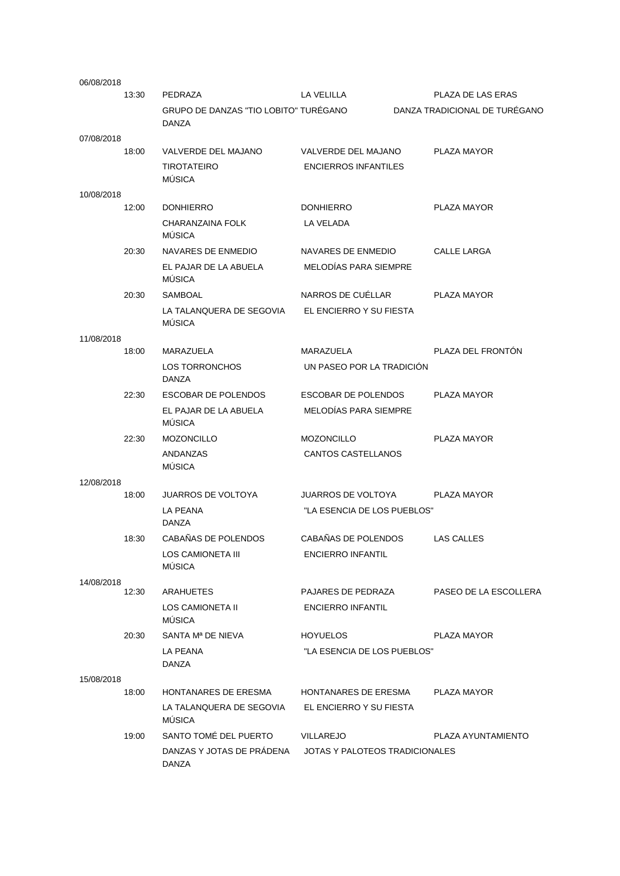| 06/08/2018 |       |                                                       |                                |                               |
|------------|-------|-------------------------------------------------------|--------------------------------|-------------------------------|
|            | 13:30 | PEDRAZA                                               | LA VELILLA                     | PLAZA DE LAS ERAS             |
|            |       | GRUPO DE DANZAS "TIO LOBITO" TUREGANO<br><b>DANZA</b> |                                | DANZA TRADICIONAL DE TURÉGANO |
| 07/08/2018 |       |                                                       |                                |                               |
|            | 18:00 | VALVERDE DEL MAJANO                                   | VALVERDE DEL MAJANO            | <b>PLAZA MAYOR</b>            |
|            |       | <b>TIROTATEIRO</b><br><b>MÚSICA</b>                   | <b>ENCIERROS INFANTILES</b>    |                               |
| 10/08/2018 |       |                                                       |                                |                               |
|            | 12:00 | <b>DONHIERRO</b>                                      | <b>DONHIERRO</b>               | PLAZA MAYOR                   |
|            |       | CHARANZAINA FOLK<br><b>MÚSICA</b>                     | LA VELADA                      |                               |
|            | 20:30 | NAVARES DE ENMEDIO                                    | NAVARES DE ENMEDIO             | <b>CALLE LARGA</b>            |
|            |       | EL PAJAR DE LA ABUELA<br><b>MUSICA</b>                | <b>MELODIAS PARA SIEMPRE</b>   |                               |
|            | 20:30 | <b>SAMBOAL</b>                                        | NARROS DE CUELLAR              | PLAZA MAYOR                   |
|            |       | LA TALANQUERA DE SEGOVIA<br><b>MÚSICA</b>             | EL ENCIERRO Y SU FIESTA        |                               |
| 11/08/2018 |       |                                                       |                                |                               |
|            | 18:00 | MARAZUELA                                             | MARAZUELA                      | PLAZA DEL FRONTÓN             |
|            |       | LOS TORRONCHOS<br><b>DANZA</b>                        | UN PASEO POR LA TRADICION      |                               |
|            | 22:30 | <b>ESCOBAR DE POLENDOS</b>                            | ESCOBAR DE POLENDOS            | PLAZA MAYOR                   |
|            |       | EL PAJAR DE LA ABUELA<br><b>MÚSICA</b>                | <b>MELODIAS PARA SIEMPRE</b>   |                               |
|            | 22:30 | <b>MOZONCILLO</b>                                     | <b>MOZONCILLO</b>              | PLAZA MAYOR                   |
|            |       | ANDANZAS<br><b>MÚSICA</b>                             | CANTOS CASTELLANOS             |                               |
| 12/08/2018 |       |                                                       |                                |                               |
|            | 18:00 | <b>JUARROS DE VOLTOYA</b>                             | <b>JUARROS DE VOLTOYA</b>      | PLAZA MAYOR                   |
|            |       | <b>LA PEANA</b><br><b>DANZA</b>                       | "LA ESENCIA DE LOS PUEBLOS"    |                               |
|            | 18:30 | CABAÑAS DE POLENDOS                                   | CABAÑAS DE POLENDOS            | <b>LAS CALLES</b>             |
|            |       | LOS CAMIONETA III<br><b>MÚSICA</b>                    | <b>ENCIERRO INFANTIL</b>       |                               |
| 14/08/2018 | 12:30 | <b>ARAHUETES</b>                                      | PAJARES DE PEDRAZA             | PASEO DE LA ESCOLLERA         |
|            |       | LOS CAMIONETA II                                      | <b>ENCIERRO INFANTIL</b>       |                               |
|            |       | <b>MÚSICA</b>                                         |                                |                               |
|            | 20:30 | SANTA M <sup>a</sup> DE NIEVA                         | <b>HOYUELOS</b>                | PLAZA MAYOR                   |
|            |       | LA PEANA<br>DANZA                                     | "LA ESENCIA DE LOS PUEBLOS"    |                               |
| 15/08/2018 |       |                                                       |                                |                               |
|            | 18:00 | HONTANARES DE ERESMA                                  | HONTANARES DE ERESMA           | PLAZA MAYOR                   |
|            |       | LA TALANQUERA DE SEGOVIA<br><b>MÚSICA</b>             | EL ENCIERRO Y SU FIESTA        |                               |
|            | 19:00 | SANTO TOMÉ DEL PUERTO                                 | <b>VILLAREJO</b>               | PLAZA AYUNTAMIENTO            |
|            |       | DANZAS Y JOTAS DE PRÁDENA<br>DANZA                    | JOTAS Y PALOTEOS TRADICIONALES |                               |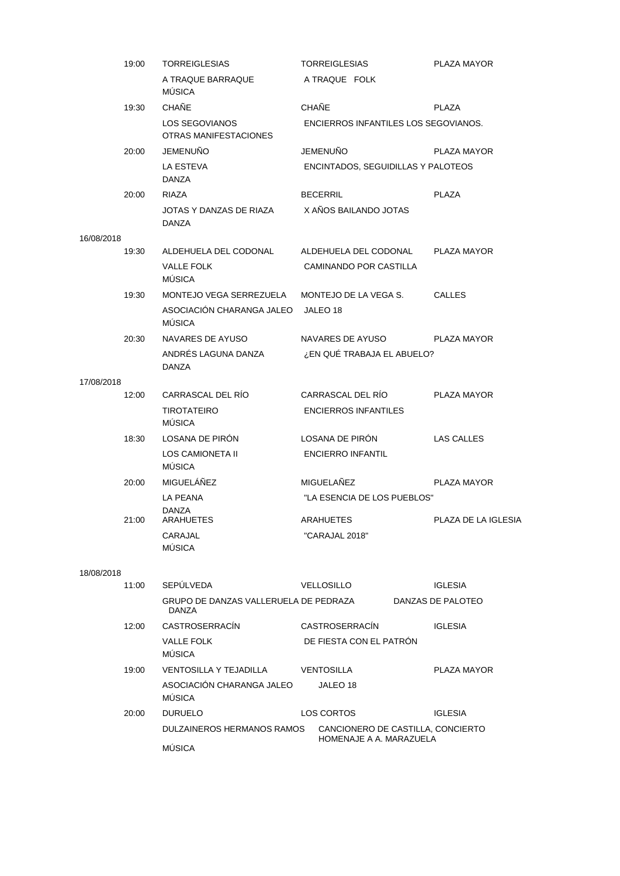| 19:00      | <b>TORREIGLESIAS</b>                                                  | <b>TORREIGLESIAS</b>                                         | PLAZA MAYOR         |
|------------|-----------------------------------------------------------------------|--------------------------------------------------------------|---------------------|
|            | A TRAQUE BARRAQUE<br><b>MUSICA</b>                                    | A TRAQUE FOLK                                                |                     |
| 19:30      | <b>CHAÑE</b>                                                          | <b>CHAÑE</b>                                                 | <b>PLAZA</b>        |
|            | LOS SEGOVIANOS<br>OTRAS MANIFESTACIONES                               | ENCIERROS INFANTILES LOS SEGOVIANOS.                         |                     |
| 20:00      | <b>JEMENUÑO</b>                                                       | <b>JEMENUÑO</b>                                              | PLAZA MAYOR         |
|            | <b>LA ESTEVA</b><br>DANZA                                             | ENCINTADOS, SEGUIDILLAS Y PALOTEOS                           |                     |
| 20:00      | RIAZA                                                                 | <b>BECERRIL</b>                                              | <b>PLAZA</b>        |
|            | JOTAS Y DANZAS DE RIAZA<br>DANZA                                      | X AÑOS BAILANDO JOTAS                                        |                     |
| 16/08/2018 |                                                                       |                                                              |                     |
| 19:30      | ALDEHUELA DEL CODONAL<br><b>VALLE FOLK</b><br>MÚSICA                  | ALDEHUELA DEL CODONAL<br>CAMINANDO POR CASTILLA              | PLAZA MAYOR         |
| 19:30      | MONTEJO VEGA SERREZUELA<br>ASOCIACIÓN CHARANGA JALEO<br><b>MÚSICA</b> | MONTEJO DE LA VEGA S.<br>JALEO 18                            | <b>CALLES</b>       |
| 20:30      | NAVARES DE AYUSO                                                      | NAVARES DE AYUSO                                             | PLAZA MAYOR         |
|            | ANDRÉS LAGUNA DANZA<br>DANZA                                          | ¿EN QUÉ TRABAJA EL ABUELO?                                   |                     |
| 17/08/2018 |                                                                       |                                                              |                     |
| 12:00      | CARRASCAL DEL RÍO<br><b>TIROTATEIRO</b><br>MÚSICA                     | CARRASCAL DEL RÍO<br><b>ENCIERROS INFANTILES</b>             | PLAZA MAYOR         |
| 18:30      | LOSANA DE PIRÓN                                                       | LOSANA DE PIRÓN                                              | LAS CALLES          |
|            | LOS CAMIONETA II<br>MÚSICA                                            | <b>ENCIERRO INFANTIL</b>                                     |                     |
| 20:00      | MIGUELÁÑEZ                                                            | MIGUELAÑEZ                                                   | PLAZA MAYOR         |
|            | LA PEANA                                                              | "LA ESENCIA DE LOS PUEBLOS"                                  |                     |
| 21:00      | <b>DANZA</b><br>ARAHUETES                                             | ARAHUETES                                                    | PLAZA DE LA IGLESIA |
|            | CARAJAL<br>MÚSICA                                                     | "CARAJAL 2018"                                               |                     |
| 18/08/2018 |                                                                       |                                                              |                     |
| 11:00      | SEPÚLVEDA                                                             | VELLOSILLO                                                   | <b>IGLESIA</b>      |
|            | GRUPO DE DANZAS VALLERUELA DE PEDRAZA<br>DANZA                        |                                                              | DANZAS DE PALOTEO   |
| 12:00      | CASTROSERRACIN                                                        | CASTROSERRACIN                                               | <b>IGLESIA</b>      |
|            | VALLE FOLK<br>MÚSICA                                                  | DE FIESTA CON EL PATRON                                      |                     |
| 19:00      | VENTOSILLA Y TEJADILLA                                                | VENTOSILLA                                                   | PLAZA MAYOR         |
|            | ASOCIACIÓN CHARANGA JALEO<br><b>MUSICA</b>                            | JALEO 18                                                     |                     |
| 20:00      | <b>DURUELO</b>                                                        | LOS CORTOS                                                   | <b>IGLESIA</b>      |
|            | DULZAINEROS HERMANOS RAMOS<br>MÚSICA                                  | CANCIONERO DE CASTILLA, CONCIERTO<br>HOMENAJE A A. MARAZUELA |                     |
|            |                                                                       |                                                              |                     |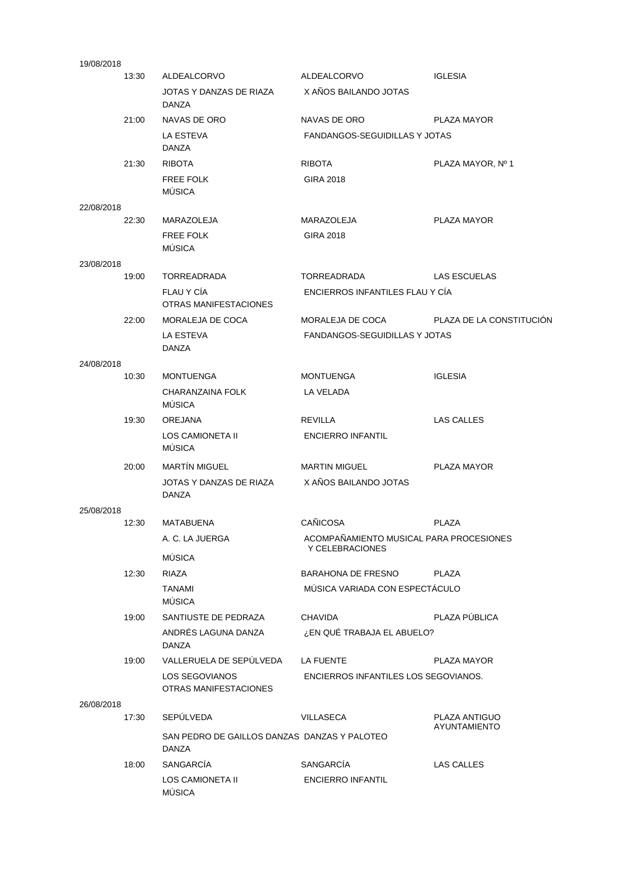| 19/08/2018 |       |                                                       |                                         |                               |
|------------|-------|-------------------------------------------------------|-----------------------------------------|-------------------------------|
|            | 13:30 | ALDEALCORVO                                           | ALDEALCORVO                             | <b>IGLESIA</b>                |
|            |       | JOTAS Y DANZAS DE RIAZA<br>DANZA                      | X AÑOS BAILANDO JOTAS                   |                               |
|            | 21:00 | NAVAS DE ORO                                          | NAVAS DE ORO                            | PLAZA MAYOR                   |
|            |       | LA ESTEVA<br>DANZA                                    | <b>FANDANGOS-SEGUIDILLAS Y JOTAS</b>    |                               |
|            | 21:30 | <b>RIBOTA</b>                                         | <b>RIBOTA</b>                           | PLAZA MAYOR, Nº 1             |
|            |       | <b>FREE FOLK</b><br><b>MÚSICA</b>                     | <b>GIRA 2018</b>                        |                               |
| 22/08/2018 |       |                                                       |                                         |                               |
|            | 22:30 | MARAZOLEJA                                            | MARAZOLEJA                              | PLAZA MAYOR                   |
|            |       | <b>FREE FOLK</b><br><b>MÚSICA</b>                     | GIRA 2018                               |                               |
| 23/08/2018 |       |                                                       |                                         |                               |
|            | 19:00 | <b>TORREADRADA</b>                                    | TORREADRADA                             | <b>LAS ESCUELAS</b>           |
|            |       | FLAU Y CÍA<br><b>OTRAS MANIFESTACIONES</b>            | ENCIERROS INFANTILES FLAU Y CÍA         |                               |
|            | 22:00 | MORALEJA DE COCA                                      | MORALEJA DE COCA                        | PLAZA DE LA CONSTITUCIÓN      |
|            |       | LA ESTEVA<br>DANZA                                    | <b>FANDANGOS-SEGUIDILLAS Y JOTAS</b>    |                               |
| 24/08/2018 |       |                                                       |                                         |                               |
|            | 10:30 | <b>MONTUENGA</b>                                      | <b>MONTUENGA</b>                        | <b>IGLESIA</b>                |
|            |       | CHARANZAINA FOLK<br><b>MÚSICA</b>                     | LA VELADA                               |                               |
|            | 19:30 | <b>OREJANA</b>                                        | <b>REVILLA</b>                          | <b>LAS CALLES</b>             |
|            |       | LOS CAMIONETA II<br>MÚSICA                            | <b>ENCIERRO INFANTIL</b>                |                               |
|            | 20:00 | <b>MARTÍN MIGUEL</b>                                  | <b>MARTIN MIGUEL</b>                    | PLAZA MAYOR                   |
|            |       | JOTAS Y DANZAS DE RIAZA<br>DANZA                      | X AÑOS BAILANDO JOTAS                   |                               |
| 25/08/2018 |       |                                                       |                                         |                               |
|            |       | 12:30 MATABUENA                                       | CAÑICOSA                                | <b>PLAZA</b>                  |
|            |       | A. C. LA JUERGA                                       | ACOMPAÑAMIENTO MUSICAL PARA PROCESIONES |                               |
|            |       | MÚSICA                                                | Y CELEBRACIONES                         |                               |
|            | 12:30 | <b>RIAZA</b>                                          | <b>BARAHONA DE FRESNO</b>               | <b>PLAZA</b>                  |
|            |       | <b>TANAMI</b>                                         | MÚSICA VARIADA CON ESPECTÁCULO          |                               |
|            |       | <b>MÚSICA</b>                                         |                                         |                               |
|            | 19:00 | SANTIUSTE DE PEDRAZA                                  | <b>CHAVIDA</b>                          | PLAZA PÚBLICA                 |
|            |       | ANDRÉS LAGUNA DANZA<br>DANZA                          | ¿EN QUÉ TRABAJA EL ABUELO?              |                               |
|            | 19:00 | VALLERUELA DE SEPÚLVEDA                               | LA FUENTE                               | PLAZA MAYOR                   |
|            |       | LOS SEGOVIANOS<br>OTRAS MANIFESTACIONES               | ENCIERROS INFANTILES LOS SEGOVIANOS.    |                               |
| 26/08/2018 |       |                                                       |                                         |                               |
|            | 17:30 | SEPÚLVEDA                                             | VILLASECA                               | PLAZA ANTIGUO<br>AYUNTAMIENTO |
|            |       | SAN PEDRO DE GAILLOS DANZAS DANZAS Y PALOTEO<br>DANZA |                                         |                               |
|            | 18:00 | <b>SANGARCÍA</b>                                      | SANGARCÍA                               | LAS CALLES                    |
|            |       | LOS CAMIONETA II<br><b>MÚSICA</b>                     | <b>ENCIERRO INFANTIL</b>                |                               |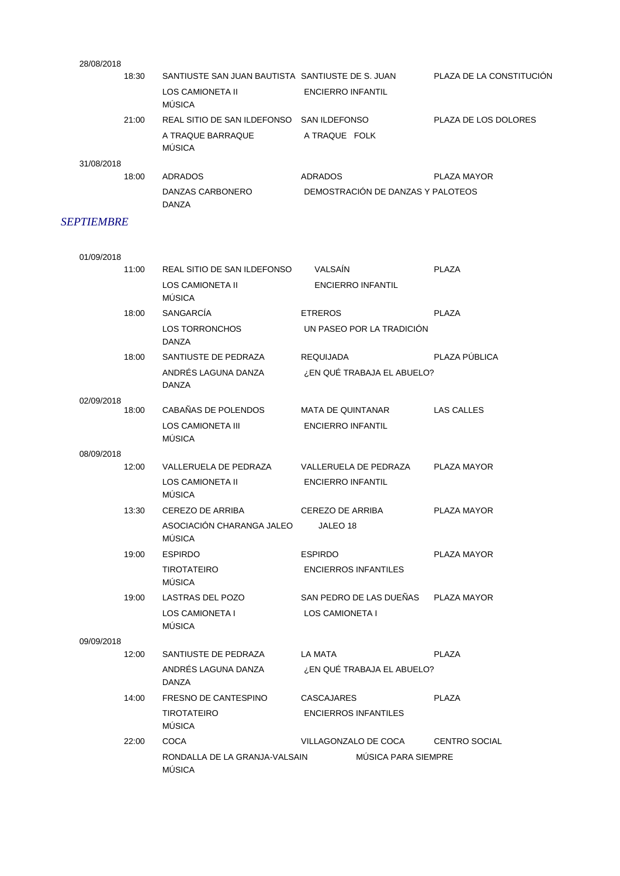| 28/08/2018 |                                                  |                                   |                          |
|------------|--------------------------------------------------|-----------------------------------|--------------------------|
| 18:30      | SANTIUSTE SAN JUAN BAUTISTA SANTIUSTE DE S. JUAN |                                   | PLAZA DE LA CONSTITUCIÓN |
|            | LOS CAMIONETA II<br><b>MÚSICA</b>                | <b>ENCIERRO INFANTIL</b>          |                          |
| 21:00      | REAL SITIO DE SAN ILDEFONSO SAN ILDEFONSO        |                                   | PLAZA DE LOS DOLORES     |
|            | A TRAQUE BARRAQUE<br><b>MÚSICA</b>               | A TRAQUE FOLK                     |                          |
| 31/08/2018 |                                                  |                                   |                          |
| 18:00      | ADRADOS                                          | <b>ADRADOS</b>                    | PLAZA MAYOR              |
|            | DANZAS CARBONERO<br><b>DANZA</b>                 | DEMOSTRACIÓN DE DANZAS Y PALOTEOS |                          |

## *SEPTIEMBRE*

| 01/09/2018 |                                                |                             |                      |
|------------|------------------------------------------------|-----------------------------|----------------------|
| 11:00      | REAL SITIO DE SAN ILDEFONSO                    | <b>VALSAIN</b>              | <b>PLAZA</b>         |
|            | LOS CAMIONETA II<br><b>MÚSICA</b>              | <b>ENCIERRO INFANTIL</b>    |                      |
| 18:00      | <b>SANGARCÍA</b>                               | <b>ETREROS</b>              | <b>PLAZA</b>         |
|            | <b>LOS TORRONCHOS</b><br><b>DANZA</b>          | UN PASEO POR LA TRADICIÓN   |                      |
| 18:00      | SANTIUSTE DE PEDRAZA                           | <b>REQUIJADA</b>            | PLAZA PÚBLICA        |
|            | ANDRÉS LAGUNA DANZA<br><b>DANZA</b>            | ¿EN QUÉ TRABAJA EL ABUELO?  |                      |
| 02/09/2018 |                                                |                             |                      |
| 18:00      | CABAÑAS DE POLENDOS                            | <b>MATA DE QUINTANAR</b>    | <b>LAS CALLES</b>    |
|            | <b>LOS CAMIONETA III</b><br>MÚSICA             | <b>ENCIERRO INFANTIL</b>    |                      |
| 08/09/2018 |                                                |                             |                      |
| 12:00      | VALLERUELA DE PEDRAZA                          | VALLERUELA DE PEDRAZA       | PLAZA MAYOR          |
|            | <b>LOS CAMIONETA II</b><br>MÚSICA              | <b>ENCIERRO INFANTIL</b>    |                      |
| 13:30      | CEREZO DE ARRIBA                               | CEREZO DE ARRIBA            | PLAZA MAYOR          |
|            | ASOCIACIÓN CHARANGA JALEO<br><b>MÚSICA</b>     | JALEO 18                    |                      |
| 19:00      | <b>ESPIRDO</b>                                 | <b>ESPIRDO</b>              | PLAZA MAYOR          |
|            | <b>TIROTATEIRO</b><br><b>MÚSICA</b>            | <b>ENCIERROS INFANTILES</b> |                      |
| 19:00      | LASTRAS DEL POZO                               | SAN PEDRO DE LAS DUEÑAS     | PLAZA MAYOR          |
|            | <b>LOS CAMIONETA I</b><br><b>MÚSICA</b>        | LOS CAMIONETA I             |                      |
| 09/09/2018 |                                                |                             |                      |
| 12:00      | SANTIUSTE DE PEDRAZA                           | LA MATA                     | <b>PLAZA</b>         |
|            | ANDRÉS LAGUNA DANZA<br><b>DANZA</b>            | ¿EN QUE TRABAJA EL ABUELO?  |                      |
| 14:00      | FRESNO DE CANTESPINO                           | <b>CASCAJARES</b>           | <b>PLAZA</b>         |
|            | <b>TIROTATEIRO</b><br>MÚSICA                   | <b>ENCIERROS INFANTILES</b> |                      |
| 22:00      | <b>COCA</b>                                    | VILLAGONZALO DE COCA        | <b>CENTRO SOCIAL</b> |
|            | RONDALLA DE LA GRANJA-VALSAIN<br><b>MÚSICA</b> | MÚSICA PARA SIEMPRE         |                      |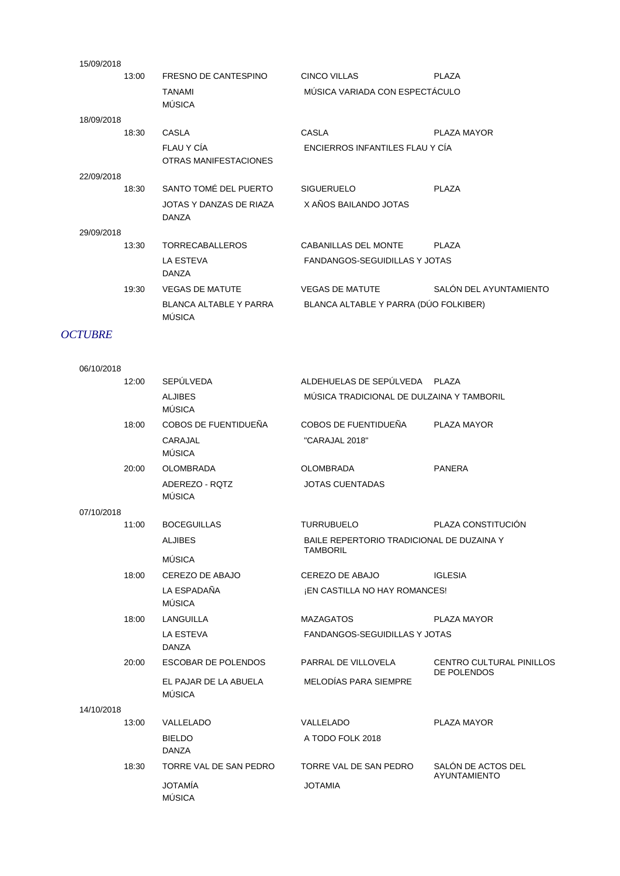| 15/09/2018 |       |                                                |                                       |                        |
|------------|-------|------------------------------------------------|---------------------------------------|------------------------|
|            | 13:00 | FRESNO DE CANTESPINO                           | CINCO VILLAS                          | <b>PLAZA</b>           |
|            |       | <b>TANAMI</b><br>MÚSICA                        | MÚSICA VARIADA CON ESPECTÁCULO        |                        |
| 18/09/2018 |       |                                                |                                       |                        |
|            | 18:30 | CASLA                                          | <b>CASLA</b>                          | PLAZA MAYOR            |
|            |       | FLAU Y CÍA<br>OTRAS MANIFESTACIONES            | ENCIERROS INFANTILES FLAU Y CIA       |                        |
| 22/09/2018 |       |                                                |                                       |                        |
|            | 18:30 | SANTO TOMÉ DEL PUERTO                          | <b>SIGUERUELO</b>                     | PI AZA                 |
|            |       | JOTAS Y DANZAS DE RIAZA<br><b>DANZA</b>        | X AÑOS BAILANDO JOTAS                 |                        |
| 29/09/2018 |       |                                                |                                       |                        |
|            | 13:30 | <b>TORRECABALLEROS</b>                         | CABANILLAS DEL MONTE                  | <b>PLAZA</b>           |
|            |       | <b>LA ESTEVA</b><br><b>DANZA</b>               | <b>FANDANGOS-SEGUIDILLAS Y JOTAS</b>  |                        |
|            | 19:30 | <b>VEGAS DE MATUTE</b>                         | <b>VEGAS DE MATUTE</b>                | SALÓN DEL AYUNTAMIENTC |
|            |       | <b>BLANCA ALTABLE Y PARRA</b><br><b>MÚSICA</b> | BLANCA ALTABLE Y PARRA (DÚO FOLKIBER) |                        |
|            |       |                                                |                                       |                        |

## *OCTUBRE*

| 06/10/2018 |       |                                        |                                           |                                                |
|------------|-------|----------------------------------------|-------------------------------------------|------------------------------------------------|
|            | 12:00 | SEPÚLVEDA                              | ALDEHUELAS DE SEPÚLVEDA PLAZA             |                                                |
|            |       | <b>ALJIBES</b><br>MÚSICA               | MÚSICA TRADICIONAL DE DULZAINA Y TAMBORIL |                                                |
|            | 18:00 | COBOS DE FUENTIDUEÑA                   | COBOS DE FUENTIDUEÑA                      | PLAZA MAYOR                                    |
|            |       | CARAJAL<br><b>MÚSICA</b>               | "CARAJAL 2018"                            |                                                |
|            | 20:00 | <b>OLOMBRADA</b>                       | <b>OLOMBRADA</b>                          | <b>PANERA</b>                                  |
|            |       | ADEREZO - ROTZ<br><b>MÚSICA</b>        | <b>JOTAS CUENTADAS</b>                    |                                                |
| 07/10/2018 |       |                                        |                                           |                                                |
|            | 11:00 | <b>BOCEGUILLAS</b>                     | <b>TURRUBUELO</b>                         | PLAZA CONSTITUCIÓN                             |
|            |       | <b>ALJIBES</b>                         | BAILE REPERTORIO TRADICIONAL DE DUZAINA Y |                                                |
|            |       | MÚSICA                                 | <b>TAMBORIL</b>                           |                                                |
|            | 18:00 | CEREZO DE ABAJO                        | CEREZO DE ABAJO                           | <b>IGLESIA</b>                                 |
|            |       | LA ESPADAÑA<br>MÚSICA                  | ¡EN CASTILLA NO HAY ROMANCES!             |                                                |
|            | 18:00 | LANGUILLA                              | <b>MAZAGATOS</b>                          | PLAZA MAYOR                                    |
|            |       | LA ESTEVA<br><b>DANZA</b>              | <b>FANDANGOS-SEGUIDILLAS Y JOTAS</b>      |                                                |
|            | 20:00 | ESCOBAR DE POLENDOS                    | PARRAL DE VILLOVELA                       | <b>CENTRO CULTURAL PINILLOS</b><br>DE POLENDOS |
|            |       | EL PAJAR DE LA ABUELA<br><b>MÚSICA</b> | MELODÍAS PARA SIEMPRE                     |                                                |
| 14/10/2018 |       |                                        |                                           |                                                |
|            | 13:00 | VALLELADO                              | VALLELADO                                 | PLAZA MAYOR                                    |
|            |       | <b>BIELDO</b><br><b>DANZA</b>          | A TODO FOLK 2018                          |                                                |
|            | 18:30 | TORRE VAL DE SAN PEDRO                 | TORRE VAL DE SAN PEDRO                    | SALÓN DE ACTOS DEL                             |
|            |       | <b>JOTAMÍA</b><br><b>MÚSICA</b>        | <b>JOTAMIA</b>                            | <b>AYUNTAMIENTO</b>                            |